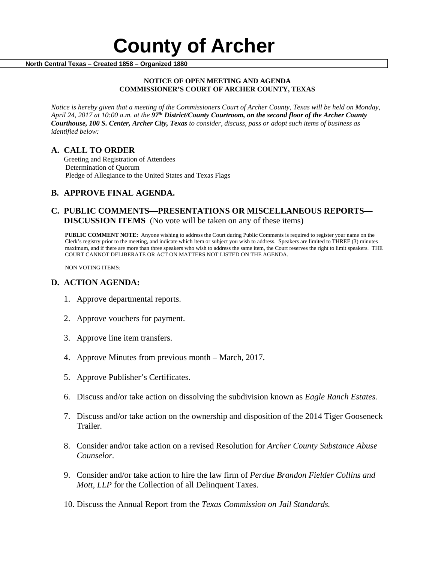# **County of Archer And County of Archer North Central Texas – Created 1858 – Organized 1880**

#### **NOTICE OF OPEN MEETING AND AGENDA COMMISSIONER'S COURT OF ARCHER COUNTY, TEXAS**

*Notice is hereby given that a meeting of the Commissioners Court of Archer County, Texas will be held on Monday, April 24, 2017 at 10:00 a.m. at the 97th District/County Courtroom, on the second floor of the Archer County Courthouse, 100 S. Center, Archer City, Texas to consider, discuss, pass or adopt such items of business as identified below:*

**A. CALL TO ORDER** Greeting and Registration of Attendees Determination of Quorum Pledge of Allegiance to the United States and Texas Flags

## **B. APPROVE FINAL AGENDA.**

### **C. PUBLIC COMMENTS—PRESENTATIONS OR MISCELLANEOUS REPORTS— DISCUSSION ITEMS** (No vote will be taken on any of these items)

**PUBLIC COMMENT NOTE:** Anyone wishing to address the Court during Public Comments is required to register your name on the Clerk's registry prior to the meeting, and indicate which item or subject you wish to address. Speakers are limited to THREE (3) minutes maximum, and if there are more than three speakers who wish to address the same item, the Court reserves the right to limit speakers. THE COURT CANNOT DELIBERATE OR ACT ON MATTERS NOT LISTED ON THE AGENDA.

NON VOTING ITEMS:

#### **D. ACTION AGENDA:**

- 1. Approve departmental reports.
- 2. Approve vouchers for payment.
- 3. Approve line item transfers.
- 4. Approve Minutes from previous month March, 2017.
- 5. Approve Publisher's Certificates.
- 6. Discuss and/or take action on dissolving the subdivision known as *Eagle Ranch Estates.*
- 7. Discuss and/or take action on the ownership and disposition of the 2014 Tiger Gooseneck Trailer.
- 8. Consider and/or take action on a revised Resolution for *Archer County Substance Abuse Counselor.*
- 9. Consider and/or take action to hire the law firm of *Perdue Brandon Fielder Collins and Mott, LLP* for the Collection of all Delinquent Taxes.
- 10. Discuss the Annual Report from the *Texas Commission on Jail Standards.*